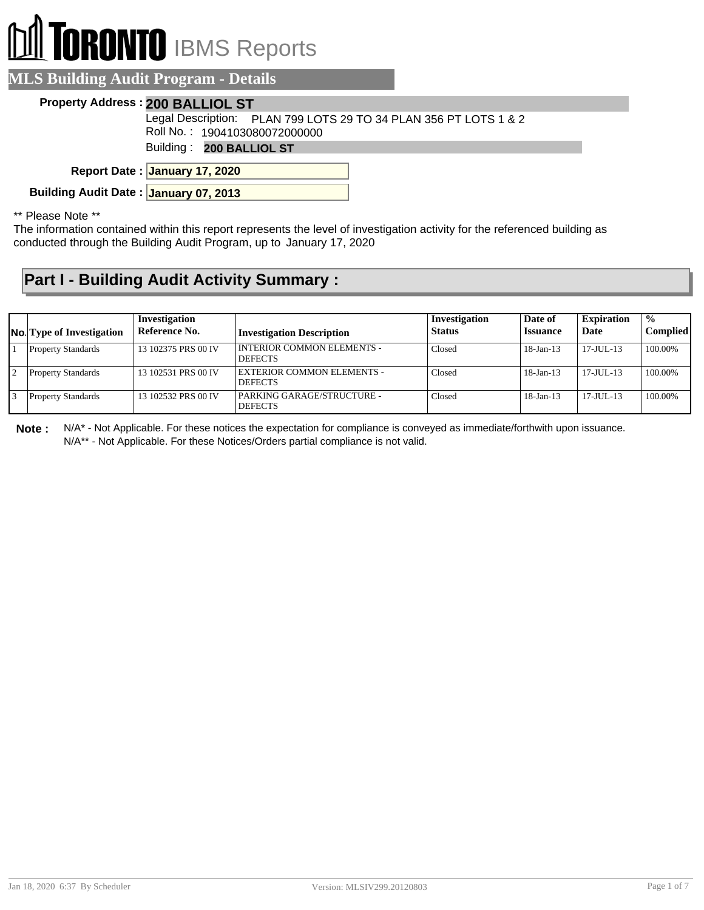# **RONTO** IBMS Reports

#### **MLS Building Audit Program - Details**

#### **Property Address : 200 BALLIOL ST**

Roll No. : 1904103080072000000 Legal Description: PLAN 799 LOTS 29 TO 34 PLAN 356 PT LOTS 1 & 2

Building : **200 BALLIOL ST**

**January 17, 2020 Report Date :**

**Building Audit Date : January 07, 2013**

\*\* Please Note \*\*

The information contained within this report represents the level of investigation activity for the referenced building as conducted through the Building Audit Program, up to January 17, 2020

### **Part I - Building Audit Activity Summary :**

| <b>No.</b> Type of Investigation | Investigation<br>Reference No. | <b>Investigation Description</b>               | Investigation<br><b>Status</b> | Date of<br><b>Issuance</b> | <b>Expiration</b><br>Date | $\frac{0}{0}$<br><b>Complied</b> |
|----------------------------------|--------------------------------|------------------------------------------------|--------------------------------|----------------------------|---------------------------|----------------------------------|
| <b>Property Standards</b>        | 13 102375 PRS 00 IV            | I INTERIOR COMMON ELEMENTS -<br><b>DEFECTS</b> | Closed                         | $18$ -Jan- $13$            | $17 - JUII - 13$          | 100.00%                          |
| <b>Property Standards</b>        | 13 102531 PRS 00 IV            | EXTERIOR COMMON ELEMENTS -<br><b>DEFECTS</b>   | Closed                         | $18$ -Jan- $13$            | $17 - JUII - 13$          | 100.00%                          |
| <b>Property Standards</b>        | 13 102532 PRS 00 IV            | PARKING GARAGE/STRUCTURE -<br><b>DEFECTS</b>   | Closed                         | $18$ -Jan- $13$            | $17 - JUII - 13$          | 100.00%                          |

**Note :** N/A\* - Not Applicable. For these notices the expectation for compliance is conveyed as immediate/forthwith upon issuance. N/A\*\* - Not Applicable. For these Notices/Orders partial compliance is not valid.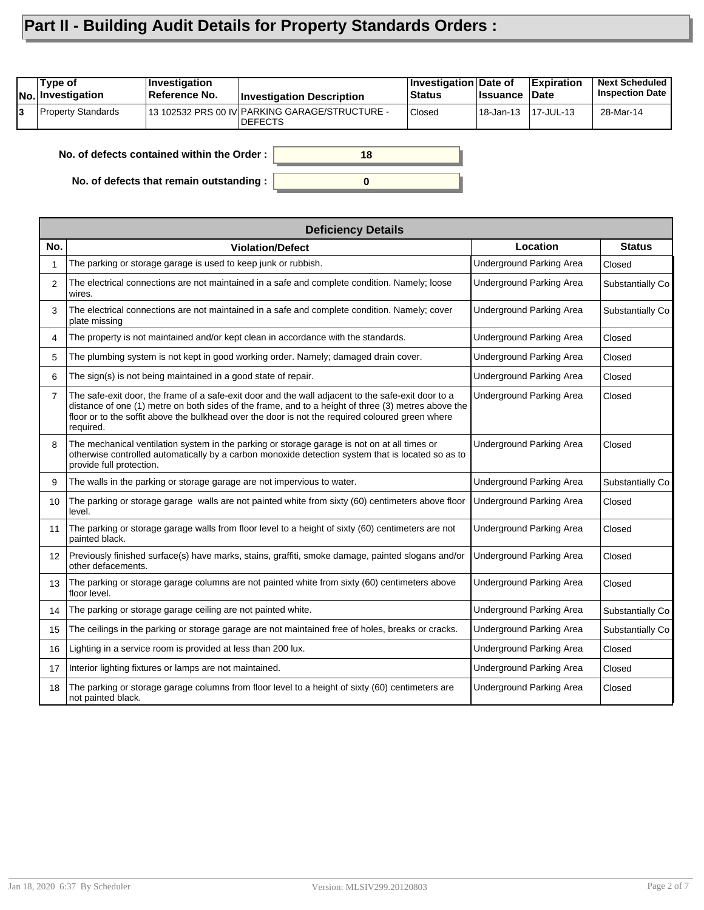## **Part II - Building Audit Details for Property Standards Orders :**

| 13 102532 PRS 00 IV PARKING GARAGE/STRUCTURE -<br><b>Property Standards</b><br><b>Closed</b><br>28-Mar-14<br>'18-Jan-13<br>13<br>17-JUL-13<br>IDEFECTS | Type of<br><b>No. Investigation</b> | <i><b>Investigation</b></i><br>Reference No. | <b>Investigation Description</b> | <b>Investigation Date of</b><br>⊦Status | ∣Issuance | <b>Expiration</b><br>∣Date | <b>Next Scheduled</b><br><b>Inspection Date</b> |
|--------------------------------------------------------------------------------------------------------------------------------------------------------|-------------------------------------|----------------------------------------------|----------------------------------|-----------------------------------------|-----------|----------------------------|-------------------------------------------------|
|                                                                                                                                                        |                                     |                                              |                                  |                                         |           |                            |                                                 |

**0**

**18**

**No. of defects contained within the Order :**

**No. of defects that remain outstanding :**

|                   | <b>Deficiency Details</b>                                                                                                                                                                                                                                                                                                  |                                 |                  |  |  |  |  |  |  |
|-------------------|----------------------------------------------------------------------------------------------------------------------------------------------------------------------------------------------------------------------------------------------------------------------------------------------------------------------------|---------------------------------|------------------|--|--|--|--|--|--|
| No.               | <b>Violation/Defect</b>                                                                                                                                                                                                                                                                                                    | Location                        | <b>Status</b>    |  |  |  |  |  |  |
|                   | The parking or storage garage is used to keep junk or rubbish.                                                                                                                                                                                                                                                             | <b>Underground Parking Area</b> | Closed           |  |  |  |  |  |  |
| 2                 | The electrical connections are not maintained in a safe and complete condition. Namely; loose<br>wires.                                                                                                                                                                                                                    | <b>Underground Parking Area</b> | Substantially Co |  |  |  |  |  |  |
| 3                 | The electrical connections are not maintained in a safe and complete condition. Namely; cover<br>plate missing                                                                                                                                                                                                             | <b>Underground Parking Area</b> | Substantially Co |  |  |  |  |  |  |
| 4                 | The property is not maintained and/or kept clean in accordance with the standards.                                                                                                                                                                                                                                         | <b>Underground Parking Area</b> | Closed           |  |  |  |  |  |  |
| 5                 | The plumbing system is not kept in good working order. Namely; damaged drain cover.                                                                                                                                                                                                                                        | Underground Parking Area        | Closed           |  |  |  |  |  |  |
| 6                 | The sign(s) is not being maintained in a good state of repair.                                                                                                                                                                                                                                                             | <b>Underground Parking Area</b> | Closed           |  |  |  |  |  |  |
| $\overline{7}$    | The safe-exit door, the frame of a safe-exit door and the wall adjacent to the safe-exit door to a<br>distance of one (1) metre on both sides of the frame, and to a height of three (3) metres above the<br>floor or to the soffit above the bulkhead over the door is not the required coloured green where<br>required. | Underground Parking Area        | Closed           |  |  |  |  |  |  |
| 8                 | The mechanical ventilation system in the parking or storage garage is not on at all times or<br>otherwise controlled automatically by a carbon monoxide detection system that is located so as to<br>provide full protection.                                                                                              | <b>Underground Parking Area</b> | Closed           |  |  |  |  |  |  |
| 9                 | The walls in the parking or storage garage are not impervious to water.                                                                                                                                                                                                                                                    | <b>Underground Parking Area</b> | Substantially Co |  |  |  |  |  |  |
| 10 <sup>1</sup>   | The parking or storage garage walls are not painted white from sixty (60) centimeters above floor<br>level.                                                                                                                                                                                                                | <b>Underground Parking Area</b> | Closed           |  |  |  |  |  |  |
| 11                | The parking or storage garage walls from floor level to a height of sixty (60) centimeters are not<br>painted black.                                                                                                                                                                                                       | <b>Underground Parking Area</b> | Closed           |  |  |  |  |  |  |
| $12 \overline{ }$ | Previously finished surface(s) have marks, stains, graffiti, smoke damage, painted slogans and/or<br>other defacements.                                                                                                                                                                                                    | <b>Underground Parking Area</b> | Closed           |  |  |  |  |  |  |
| 13                | The parking or storage garage columns are not painted white from sixty (60) centimeters above<br>floor level.                                                                                                                                                                                                              | <b>Underground Parking Area</b> | Closed           |  |  |  |  |  |  |
| 14                | The parking or storage garage ceiling are not painted white.                                                                                                                                                                                                                                                               | Underground Parking Area        | Substantially Co |  |  |  |  |  |  |
| 15                | The ceilings in the parking or storage garage are not maintained free of holes, breaks or cracks.                                                                                                                                                                                                                          | <b>Underground Parking Area</b> | Substantially Co |  |  |  |  |  |  |
| 16                | Lighting in a service room is provided at less than 200 lux.                                                                                                                                                                                                                                                               | <b>Underground Parking Area</b> | Closed           |  |  |  |  |  |  |
| 17                | Interior lighting fixtures or lamps are not maintained.                                                                                                                                                                                                                                                                    | Underground Parking Area        | Closed           |  |  |  |  |  |  |
| 18                | The parking or storage garage columns from floor level to a height of sixty (60) centimeters are<br>not painted black.                                                                                                                                                                                                     | <b>Underground Parking Area</b> | Closed           |  |  |  |  |  |  |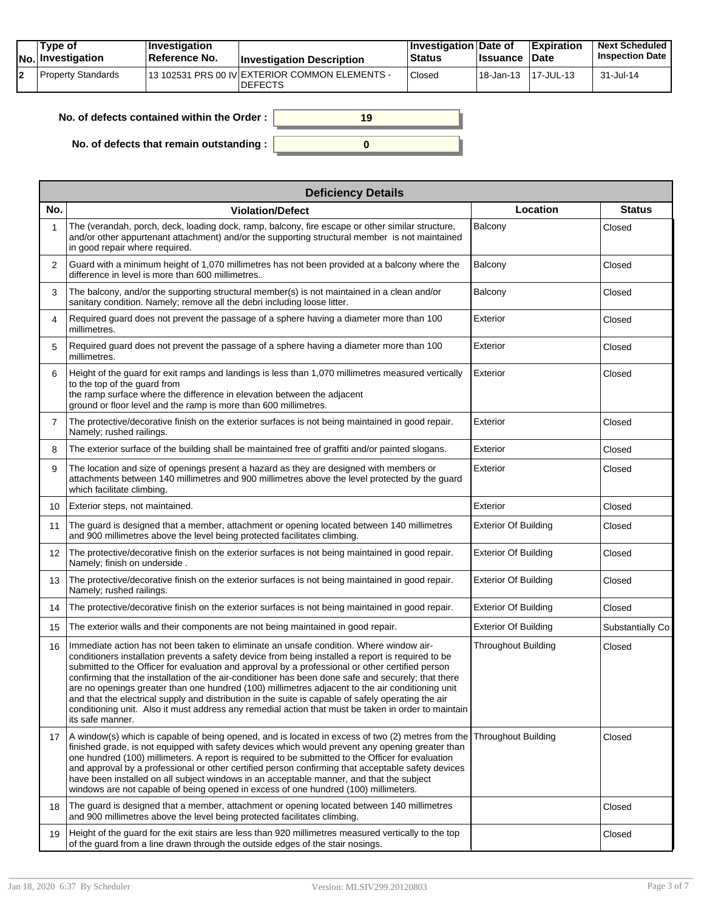|    | Tvpe of<br>No. Investigation | $\blacksquare$ Investigation<br>Reference No. | <b>Investigation Description</b>                                 | <b>Investigation Date of</b><br><b>Status</b> | <b>Issuance</b> | <b>Expiration</b><br><b>Date</b> | <b>Next Scheduled</b><br><b>Inspection Date</b> |
|----|------------------------------|-----------------------------------------------|------------------------------------------------------------------|-----------------------------------------------|-----------------|----------------------------------|-------------------------------------------------|
| 12 | Property Standards           |                                               | 13 102531 PRS 00 IV EXTERIOR COMMON ELEMENTS -<br><b>DEFECTS</b> | <b>Closed</b>                                 | 18-Jan-13       | 17-JUL-13                        | 31-Jul-14                                       |

| No. of defects contained within the Order : | 19 |
|---------------------------------------------|----|
| No. of defects that remain outstanding :    |    |

|     | <b>Deficiency Details</b>                                                                                                                                                                                                                                                                                                                                                                                                                                                                                                                                                                                                                                                                                                                      |                             |                  |
|-----|------------------------------------------------------------------------------------------------------------------------------------------------------------------------------------------------------------------------------------------------------------------------------------------------------------------------------------------------------------------------------------------------------------------------------------------------------------------------------------------------------------------------------------------------------------------------------------------------------------------------------------------------------------------------------------------------------------------------------------------------|-----------------------------|------------------|
| No. | <b>Violation/Defect</b>                                                                                                                                                                                                                                                                                                                                                                                                                                                                                                                                                                                                                                                                                                                        | Location                    | <b>Status</b>    |
| 1   | The (verandah, porch, deck, loading dock, ramp, balcony, fire escape or other similar structure,<br>and/or other appurtenant attachment) and/or the supporting structural member is not maintained<br>in good repair where required.                                                                                                                                                                                                                                                                                                                                                                                                                                                                                                           | Balcony                     | Closed           |
| 2   | Guard with a minimum height of 1,070 millimetres has not been provided at a balcony where the<br>difference in level is more than 600 millimetres                                                                                                                                                                                                                                                                                                                                                                                                                                                                                                                                                                                              | Balcony                     | Closed           |
| 3   | The balcony, and/or the supporting structural member(s) is not maintained in a clean and/or<br>sanitary condition. Namely; remove all the debri including loose litter.                                                                                                                                                                                                                                                                                                                                                                                                                                                                                                                                                                        | Balcony                     | Closed           |
| 4   | Required guard does not prevent the passage of a sphere having a diameter more than 100<br>millimetres.                                                                                                                                                                                                                                                                                                                                                                                                                                                                                                                                                                                                                                        | Exterior                    | Closed           |
| 5   | Required guard does not prevent the passage of a sphere having a diameter more than 100<br>millimetres.                                                                                                                                                                                                                                                                                                                                                                                                                                                                                                                                                                                                                                        | Exterior                    | Closed           |
| 6   | Height of the guard for exit ramps and landings is less than 1,070 millimetres measured vertically<br>to the top of the guard from<br>the ramp surface where the difference in elevation between the adjacent<br>ground or floor level and the ramp is more than 600 millimetres.                                                                                                                                                                                                                                                                                                                                                                                                                                                              | Exterior                    | Closed           |
| 7   | The protective/decorative finish on the exterior surfaces is not being maintained in good repair.<br>Namely; rushed railings.                                                                                                                                                                                                                                                                                                                                                                                                                                                                                                                                                                                                                  | Exterior                    | Closed           |
| 8   | The exterior surface of the building shall be maintained free of graffiti and/or painted slogans.                                                                                                                                                                                                                                                                                                                                                                                                                                                                                                                                                                                                                                              | Exterior                    | Closed           |
| 9   | The location and size of openings present a hazard as they are designed with members or<br>attachments between 140 millimetres and 900 millimetres above the level protected by the guard<br>which facilitate climbing.                                                                                                                                                                                                                                                                                                                                                                                                                                                                                                                        | Exterior                    | Closed           |
| 10  | Exterior steps, not maintained.                                                                                                                                                                                                                                                                                                                                                                                                                                                                                                                                                                                                                                                                                                                | Exterior                    | Closed           |
| 11  | The guard is designed that a member, attachment or opening located between 140 millimetres<br>and 900 millimetres above the level being protected facilitates climbing.                                                                                                                                                                                                                                                                                                                                                                                                                                                                                                                                                                        | <b>Exterior Of Building</b> | Closed           |
| 12  | The protective/decorative finish on the exterior surfaces is not being maintained in good repair.<br>Namely; finish on underside.                                                                                                                                                                                                                                                                                                                                                                                                                                                                                                                                                                                                              | <b>Exterior Of Building</b> | Closed           |
| 13  | The protective/decorative finish on the exterior surfaces is not being maintained in good repair.<br>Namely; rushed railings.                                                                                                                                                                                                                                                                                                                                                                                                                                                                                                                                                                                                                  | <b>Exterior Of Building</b> | Closed           |
| 14  | The protective/decorative finish on the exterior surfaces is not being maintained in good repair.                                                                                                                                                                                                                                                                                                                                                                                                                                                                                                                                                                                                                                              | <b>Exterior Of Building</b> | Closed           |
| 15  | The exterior walls and their components are not being maintained in good repair.                                                                                                                                                                                                                                                                                                                                                                                                                                                                                                                                                                                                                                                               | <b>Exterior Of Building</b> | Substantially Co |
| 16  | Immediate action has not been taken to eliminate an unsafe condition. Where window air-<br>conditioners installation prevents a safety device from being installed a report is required to be<br>submitted to the Officer for evaluation and approval by a professional or other certified person<br>confirming that the installation of the air-conditioner has been done safe and securely; that there<br>are no openings greater than one hundred (100) millimetres adjacent to the air conditioning unit<br>and that the electrical supply and distribution in the suite is capable of safely operating the air<br>conditioning unit. Also it must address any remedial action that must be taken in order to maintain<br>its safe manner. | <b>Throughout Building</b>  | Closed           |
| 17  | A window(s) which is capable of being opened, and is located in excess of two (2) metres from the Throughout Building<br>finished grade, is not equipped with safety devices which would prevent any opening greater than<br>one hundred (100) millimeters. A report is required to be submitted to the Officer for evaluation<br>and approval by a professional or other certified person confirming that acceptable safety devices<br>have been installed on all subject windows in an acceptable manner, and that the subject<br>windows are not capable of being opened in excess of one hundred (100) millimeters.                                                                                                                        |                             | Closed           |
| 18  | The guard is designed that a member, attachment or opening located between 140 millimetres<br>and 900 millimetres above the level being protected facilitates climbing.                                                                                                                                                                                                                                                                                                                                                                                                                                                                                                                                                                        |                             | Closed           |
| 19  | Height of the guard for the exit stairs are less than 920 millimetres measured vertically to the top<br>of the guard from a line drawn through the outside edges of the stair nosings.                                                                                                                                                                                                                                                                                                                                                                                                                                                                                                                                                         |                             | Closed           |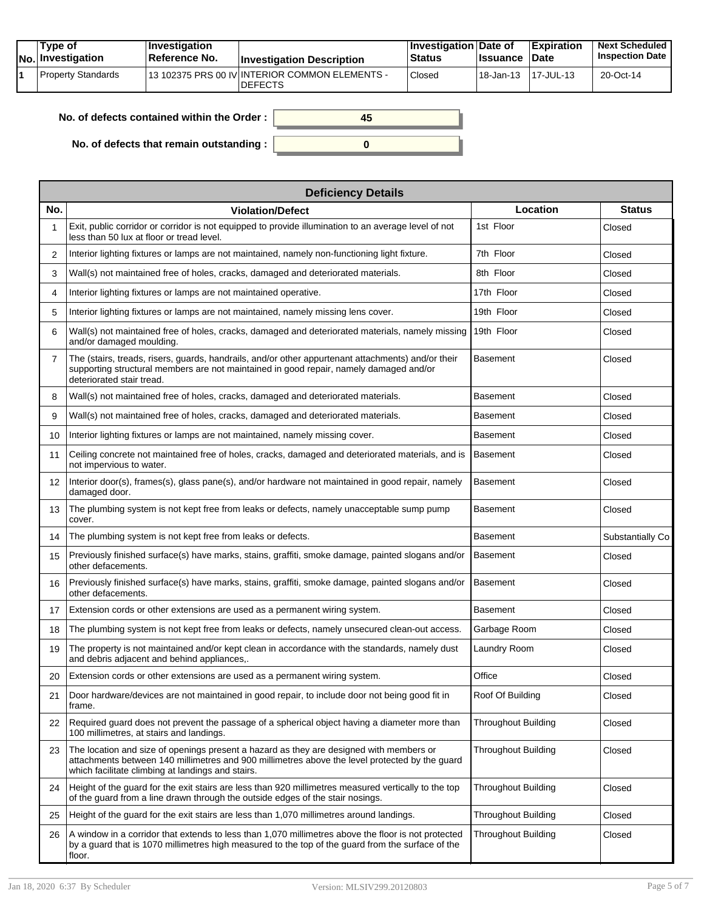|  | Tvpe of<br>$ No $ Investigation | <b>Investigation</b><br>⊺Reference No. | <b>Investigation Description</b>                                  | <b>Investigation Date of</b><br><b>Status</b> | <b>Issuance Date</b> | <b>Expiration</b> | <b>Next Scheduled</b><br><b>Inspection Date</b> |
|--|---------------------------------|----------------------------------------|-------------------------------------------------------------------|-----------------------------------------------|----------------------|-------------------|-------------------------------------------------|
|  | Property Standards              |                                        | 113 102375 PRS 00 IV INTERIOR COMMON ELEMENTS -<br><b>DEFECTS</b> | Closed                                        | 18-Jan-13            | 17-JUL-13         | 20-Oct-14                                       |

| No. of defects contained within the Order: | 45 |
|--------------------------------------------|----|
| No. of defects that remain outstanding :   |    |

|     | <b>Deficiency Details</b>                                                                                                                                                                                                                      |                            |                  |
|-----|------------------------------------------------------------------------------------------------------------------------------------------------------------------------------------------------------------------------------------------------|----------------------------|------------------|
| No. | <b>Violation/Defect</b>                                                                                                                                                                                                                        | Location                   | <b>Status</b>    |
|     | Exit, public corridor or corridor is not equipped to provide illumination to an average level of not<br>less than 50 lux at floor or tread level.                                                                                              | 1st Floor                  | Closed           |
| 2   | Interior lighting fixtures or lamps are not maintained, namely non-functioning light fixture.                                                                                                                                                  | 7th Floor                  | Closed           |
| 3   | Wall(s) not maintained free of holes, cracks, damaged and deteriorated materials.                                                                                                                                                              | 8th Floor                  | Closed           |
| 4   | Interior lighting fixtures or lamps are not maintained operative.                                                                                                                                                                              | 17th Floor                 | Closed           |
| 5   | Interior lighting fixtures or lamps are not maintained, namely missing lens cover.                                                                                                                                                             | 19th Floor                 | Closed           |
| 6   | Wall(s) not maintained free of holes, cracks, damaged and deteriorated materials, namely missing<br>and/or damaged moulding.                                                                                                                   | 19th Floor                 | Closed           |
| 7   | The (stairs, treads, risers, guards, handrails, and/or other appurtenant attachments) and/or their<br>supporting structural members are not maintained in good repair, namely damaged and/or<br>deteriorated stair tread.                      | Basement                   | Closed           |
| 8   | Wall(s) not maintained free of holes, cracks, damaged and deteriorated materials.                                                                                                                                                              | Basement                   | Closed           |
| 9   | Wall(s) not maintained free of holes, cracks, damaged and deteriorated materials.                                                                                                                                                              | Basement                   | Closed           |
| 10  | Interior lighting fixtures or lamps are not maintained, namely missing cover.                                                                                                                                                                  | Basement                   | Closed           |
| 11  | Ceiling concrete not maintained free of holes, cracks, damaged and deteriorated materials, and is<br>not impervious to water.                                                                                                                  | Basement                   | Closed           |
| 12  | Interior door(s), frames(s), glass pane(s), and/or hardware not maintained in good repair, namely<br>damaged door.                                                                                                                             | Basement                   | Closed           |
| 13  | The plumbing system is not kept free from leaks or defects, namely unacceptable sump pump<br>cover.                                                                                                                                            | Basement                   | Closed           |
| 14  | The plumbing system is not kept free from leaks or defects.                                                                                                                                                                                    | Basement                   | Substantially Co |
| 15  | Previously finished surface(s) have marks, stains, graffiti, smoke damage, painted slogans and/or<br>other defacements.                                                                                                                        | <b>Basement</b>            | Closed           |
| 16  | Previously finished surface(s) have marks, stains, graffiti, smoke damage, painted slogans and/or<br>other defacements.                                                                                                                        | <b>Basement</b>            | Closed           |
| 17  | Extension cords or other extensions are used as a permanent wiring system.                                                                                                                                                                     | Basement                   | Closed           |
| 18  | The plumbing system is not kept free from leaks or defects, namely unsecured clean-out access.                                                                                                                                                 | Garbage Room               | Closed           |
| 19  | The property is not maintained and/or kept clean in accordance with the standards, namely dust<br>and debris adjacent and behind appliances,.                                                                                                  | Laundry Room               | Closed           |
| 20  | Extension cords or other extensions are used as a permanent wiring system.                                                                                                                                                                     | Office                     | Closed           |
| 21  | Door hardware/devices are not maintained in good repair, to include door not being good fit in<br>frame.                                                                                                                                       | Roof Of Building           | Closed           |
| 22  | Required quard does not prevent the passage of a spherical object having a diameter more than<br>100 millimetres, at stairs and landings.                                                                                                      | <b>Throughout Building</b> | Closed           |
| 23  | The location and size of openings present a hazard as they are designed with members or<br>attachments between 140 millimetres and 900 millimetres above the level protected by the guard<br>which facilitate climbing at landings and stairs. | <b>Throughout Building</b> | Closed           |
| 24  | Height of the guard for the exit stairs are less than 920 millimetres measured vertically to the top<br>of the guard from a line drawn through the outside edges of the stair nosings.                                                         | Throughout Building        | Closed           |
| 25  | Height of the guard for the exit stairs are less than 1,070 millimetres around landings.                                                                                                                                                       | <b>Throughout Building</b> | Closed           |
| 26  | A window in a corridor that extends to less than 1,070 millimetres above the floor is not protected<br>by a guard that is 1070 millimetres high measured to the top of the guard from the surface of the<br>floor.                             | Throughout Building        | Closed           |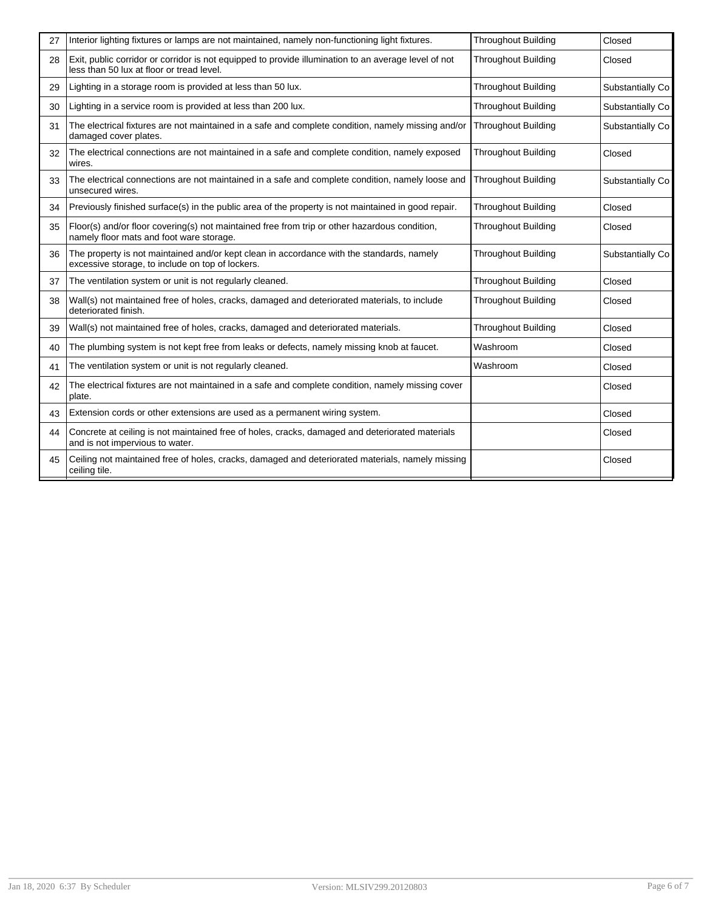| 27 | Interior lighting fixtures or lamps are not maintained, namely non-functioning light fixtures.                                                    | <b>Throughout Building</b> | Closed           |
|----|---------------------------------------------------------------------------------------------------------------------------------------------------|----------------------------|------------------|
| 28 | Exit, public corridor or corridor is not equipped to provide illumination to an average level of not<br>less than 50 lux at floor or tread level. | <b>Throughout Building</b> | Closed           |
| 29 | Lighting in a storage room is provided at less than 50 lux.                                                                                       | <b>Throughout Building</b> | Substantially Co |
| 30 | Lighting in a service room is provided at less than 200 lux.                                                                                      | <b>Throughout Building</b> | Substantially Co |
| 31 | The electrical fixtures are not maintained in a safe and complete condition, namely missing and/or<br>damaged cover plates.                       | <b>Throughout Building</b> | Substantially Co |
| 32 | The electrical connections are not maintained in a safe and complete condition, namely exposed<br>wires.                                          | <b>Throughout Building</b> | Closed           |
| 33 | The electrical connections are not maintained in a safe and complete condition, namely loose and<br>unsecured wires.                              | <b>Throughout Building</b> | Substantially Co |
| 34 | Previously finished surface(s) in the public area of the property is not maintained in good repair.                                               | <b>Throughout Building</b> | Closed           |
| 35 | Floor(s) and/or floor covering(s) not maintained free from trip or other hazardous condition,<br>namely floor mats and foot ware storage.         | <b>Throughout Building</b> | Closed           |
| 36 | The property is not maintained and/or kept clean in accordance with the standards, namely<br>excessive storage, to include on top of lockers.     | <b>Throughout Building</b> | Substantially Co |
| 37 | The ventilation system or unit is not regularly cleaned.                                                                                          | <b>Throughout Building</b> | Closed           |
| 38 | Wall(s) not maintained free of holes, cracks, damaged and deteriorated materials, to include<br>deteriorated finish.                              | <b>Throughout Building</b> | Closed           |
| 39 | Wall(s) not maintained free of holes, cracks, damaged and deteriorated materials.                                                                 | <b>Throughout Building</b> | Closed           |
| 40 | The plumbing system is not kept free from leaks or defects, namely missing knob at faucet.                                                        | Washroom                   | Closed           |
| 41 | The ventilation system or unit is not regularly cleaned.                                                                                          | Washroom                   | Closed           |
| 42 | The electrical fixtures are not maintained in a safe and complete condition, namely missing cover<br>plate.                                       |                            | Closed           |
| 43 | Extension cords or other extensions are used as a permanent wiring system.                                                                        |                            | Closed           |
| 44 | Concrete at ceiling is not maintained free of holes, cracks, damaged and deteriorated materials<br>and is not impervious to water.                |                            | Closed           |
| 45 | Ceiling not maintained free of holes, cracks, damaged and deteriorated materials, namely missing<br>ceiling tile.                                 |                            | Closed           |
|    |                                                                                                                                                   |                            |                  |